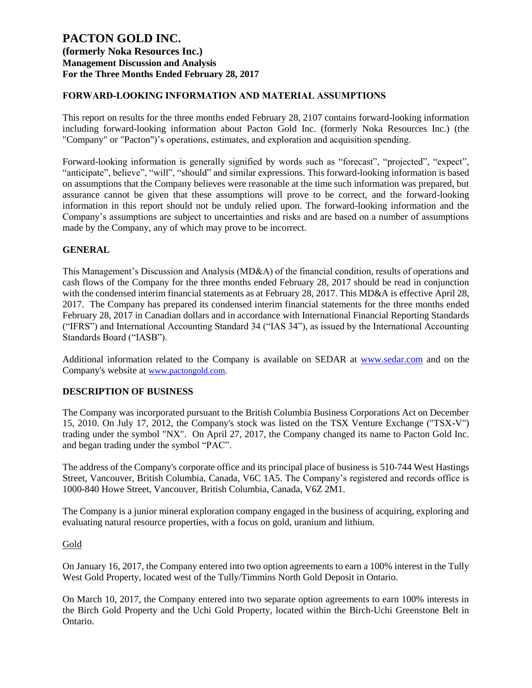### **FORWARD-LOOKING INFORMATION AND MATERIAL ASSUMPTIONS**

This report on results for the three months ended February 28, 2107 contains forward-looking information including forward-looking information about Pacton Gold Inc. (formerly Noka Resources Inc.) (the "Company" or "Pacton")'s operations, estimates, and exploration and acquisition spending.

Forward-looking information is generally signified by words such as "forecast", "projected", "expect", "anticipate", believe", "will", "should" and similar expressions. This forward-looking information is based on assumptions that the Company believes were reasonable at the time such information was prepared, but assurance cannot be given that these assumptions will prove to be correct, and the forward-looking information in this report should not be unduly relied upon. The forward-looking information and the Company's assumptions are subject to uncertainties and risks and are based on a number of assumptions made by the Company, any of which may prove to be incorrect.

### **GENERAL**

This Management's Discussion and Analysis (MD&A) of the financial condition, results of operations and cash flows of the Company for the three months ended February 28, 2017 should be read in conjunction with the condensed interim financial statements as at February 28, 2017. This MD&A is effective April 28, 2017. The Company has prepared its condensed interim financial statements for the three months ended February 28, 2017 in Canadian dollars and in accordance with International Financial Reporting Standards ("IFRS") and International Accounting Standard 34 ("IAS 34"), as issued by the International Accounting Standards Board ("IASB").

Additional information related to the Company is available on SEDAR at [www.sedar.com](http://www.sedar.com/) and on the Company's website at [www.pactongold.com.](http://www.pactongold.com/)

### **DESCRIPTION OF BUSINESS**

The Company was incorporated pursuant to the British Columbia Business Corporations Act on December 15, 2010. On July 17, 2012, the Company's stock was listed on the TSX Venture Exchange ("TSX-V") trading under the symbol "NX". On April 27, 2017, the Company changed its name to Pacton Gold Inc. and began trading under the symbol "PAC".

The address of the Company's corporate office and its principal place of business is 510-744 West Hastings Street, Vancouver, British Columbia, Canada, V6C 1A5. The Company's registered and records office is 1000-840 Howe Street, Vancouver, British Columbia, Canada, V6Z 2M1.

The Company is a junior mineral exploration company engaged in the business of acquiring, exploring and evaluating natural resource properties, with a focus on gold, uranium and lithium.

### **Gold**

On January 16, 2017, the Company entered into two option agreements to earn a 100% interest in the Tully West Gold Property, located west of the Tully/Timmins North Gold Deposit in Ontario.

On March 10, 2017, the Company entered into two separate option agreements to earn 100% interests in the Birch Gold Property and the Uchi Gold Property, located within the Birch-Uchi Greenstone Belt in Ontario.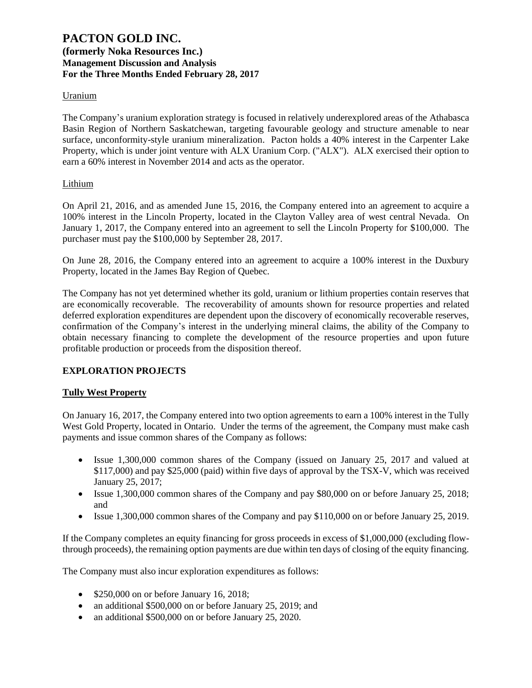### **Uranium**

The Company's uranium exploration strategy is focused in relatively underexplored areas of the Athabasca Basin Region of Northern Saskatchewan, targeting favourable geology and structure amenable to near surface, unconformity-style uranium mineralization. Pacton holds a 40% interest in the Carpenter Lake Property, which is under joint venture with ALX Uranium Corp. ("ALX"). ALX exercised their option to earn a 60% interest in November 2014 and acts as the operator.

### Lithium

On April 21, 2016, and as amended June 15, 2016, the Company entered into an agreement to acquire a 100% interest in the Lincoln Property, located in the Clayton Valley area of west central Nevada. On January 1, 2017, the Company entered into an agreement to sell the Lincoln Property for \$100,000. The purchaser must pay the \$100,000 by September 28, 2017.

On June 28, 2016, the Company entered into an agreement to acquire a 100% interest in the Duxbury Property, located in the James Bay Region of Quebec.

The Company has not yet determined whether its gold, uranium or lithium properties contain reserves that are economically recoverable. The recoverability of amounts shown for resource properties and related deferred exploration expenditures are dependent upon the discovery of economically recoverable reserves, confirmation of the Company's interest in the underlying mineral claims, the ability of the Company to obtain necessary financing to complete the development of the resource properties and upon future profitable production or proceeds from the disposition thereof.

## **EXPLORATION PROJECTS**

### **Tully West Property**

On January 16, 2017, the Company entered into two option agreements to earn a 100% interest in the Tully West Gold Property, located in Ontario. Under the terms of the agreement, the Company must make cash payments and issue common shares of the Company as follows:

- Issue 1,300,000 common shares of the Company (issued on January 25, 2017 and valued at \$117,000) and pay \$25,000 (paid) within five days of approval by the TSX-V, which was received January 25, 2017;
- Issue 1,300,000 common shares of the Company and pay \$80,000 on or before January 25, 2018; and
- Issue 1,300,000 common shares of the Company and pay \$110,000 on or before January 25, 2019.

If the Company completes an equity financing for gross proceeds in excess of \$1,000,000 (excluding flowthrough proceeds), the remaining option payments are due within ten days of closing of the equity financing.

The Company must also incur exploration expenditures as follows:

- \$250,000 on or before January 16, 2018;
- an additional \$500,000 on or before January 25, 2019; and
- an additional \$500,000 on or before January 25, 2020.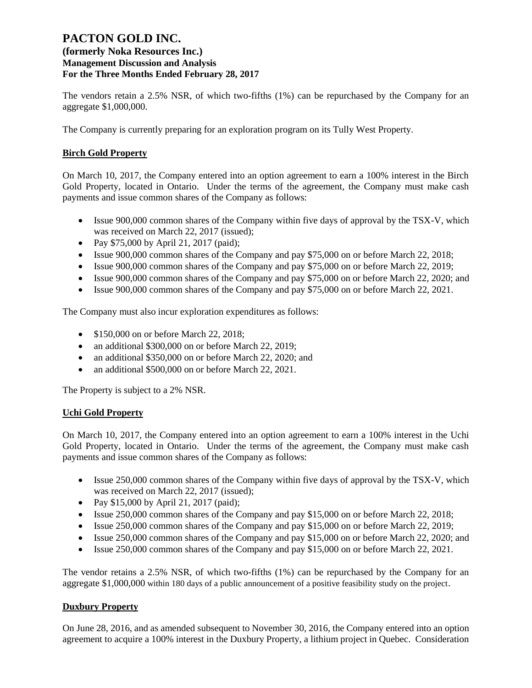## **(formerly Noka Resources Inc.) Management Discussion and Analysis For the Three Months Ended February 28, 2017**

The vendors retain a 2.5% NSR, of which two-fifths (1%) can be repurchased by the Company for an aggregate \$1,000,000.

The Company is currently preparing for an exploration program on its Tully West Property.

### **Birch Gold Property**

On March 10, 2017, the Company entered into an option agreement to earn a 100% interest in the Birch Gold Property, located in Ontario. Under the terms of the agreement, the Company must make cash payments and issue common shares of the Company as follows:

- Issue 900,000 common shares of the Company within five days of approval by the TSX-V, which was received on March 22, 2017 (issued);
- Pay \$75,000 by April 21, 2017 (paid);
- Issue 900,000 common shares of the Company and pay \$75,000 on or before March 22, 2018;
- Issue 900,000 common shares of the Company and pay \$75,000 on or before March 22, 2019;
- Issue 900,000 common shares of the Company and pay \$75,000 on or before March 22, 2020; and
- Issue 900,000 common shares of the Company and pay \$75,000 on or before March 22, 2021.

The Company must also incur exploration expenditures as follows:

- \$150,000 on or before March 22, 2018;
- an additional \$300,000 on or before March 22, 2019;
- an additional \$350,000 on or before March 22, 2020; and
- an additional \$500,000 on or before March 22, 2021.

The Property is subject to a 2% NSR.

### **Uchi Gold Property**

On March 10, 2017, the Company entered into an option agreement to earn a 100% interest in the Uchi Gold Property, located in Ontario. Under the terms of the agreement, the Company must make cash payments and issue common shares of the Company as follows:

- Issue 250,000 common shares of the Company within five days of approval by the TSX-V, which was received on March 22, 2017 (issued);
- Pay \$15,000 by April 21, 2017 (paid);
- Issue 250,000 common shares of the Company and pay \$15,000 on or before March 22, 2018;
- Issue 250,000 common shares of the Company and pay \$15,000 on or before March 22, 2019;
- Issue 250,000 common shares of the Company and pay \$15,000 on or before March 22, 2020; and
- Issue 250,000 common shares of the Company and pay \$15,000 on or before March 22, 2021.

The vendor retains a 2.5% NSR, of which two-fifths (1%) can be repurchased by the Company for an aggregate \$1,000,000 within 180 days of a public announcement of a positive feasibility study on the project.

### **Duxbury Property**

On June 28, 2016, and as amended subsequent to November 30, 2016, the Company entered into an option agreement to acquire a 100% interest in the Duxbury Property, a lithium project in Quebec. Consideration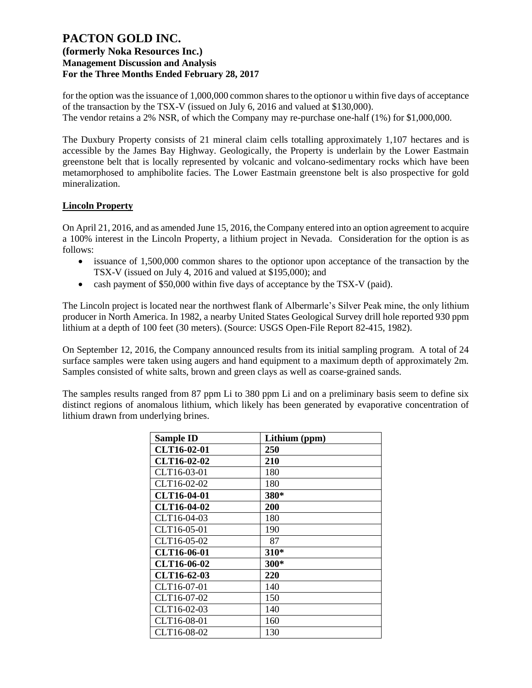for the option was the issuance of 1,000,000 common shares to the optionor u within five days of acceptance of the transaction by the TSX-V (issued on July 6, 2016 and valued at \$130,000). The vendor retains a 2% NSR, of which the Company may re-purchase one-half (1%) for \$1,000,000.

The Duxbury Property consists of 21 mineral claim cells totalling approximately 1,107 hectares and is accessible by the James Bay Highway. Geologically, the Property is underlain by the Lower Eastmain greenstone belt that is locally represented by volcanic and volcano-sedimentary rocks which have been metamorphosed to amphibolite facies. The Lower Eastmain greenstone belt is also prospective for gold mineralization.

### **Lincoln Property**

On April 21, 2016, and as amended June 15, 2016, the Company entered into an option agreement to acquire a 100% interest in the Lincoln Property, a lithium project in Nevada. Consideration for the option is as follows:

- issuance of 1,500,000 common shares to the optionor upon acceptance of the transaction by the TSX-V (issued on July 4, 2016 and valued at \$195,000); and
- cash payment of \$50,000 within five days of acceptance by the TSX-V (paid).

The Lincoln project is located near the northwest flank of Albermarle's Silver Peak mine, the only lithium producer in North America. In 1982, a nearby United States Geological Survey drill hole reported 930 ppm lithium at a depth of 100 feet (30 meters). (Source: USGS Open-File Report 82-415, 1982).

On September 12, 2016, the Company announced results from its initial sampling program. A total of 24 surface samples were taken using augers and hand equipment to a maximum depth of approximately 2m. Samples consisted of white salts, brown and green clays as well as coarse-grained sands.

The samples results ranged from 87 ppm Li to 380 ppm Li and on a preliminary basis seem to define six distinct regions of anomalous lithium, which likely has been generated by evaporative concentration of lithium drawn from underlying brines.

| <b>Sample ID</b>   | Lithium (ppm) |
|--------------------|---------------|
| CLT16-02-01        | 250           |
| CLT16-02-02        | 210           |
| CLT16-03-01        | 180           |
| CLT16-02-02        | 180           |
| <b>CLT16-04-01</b> | 380*          |
| CLT16-04-02        | <b>200</b>    |
| CLT16-04-03        | 180           |
| CLT16-05-01        | 190           |
| CLT16-05-02        | 87            |
| CLT16-06-01        | 310*          |
| CLT16-06-02        | 300*          |
| CLT16-62-03        | 220           |
| CLT16-07-01        | 140           |
| CLT16-07-02        | 150           |
| CLT16-02-03        | 140           |
| CLT16-08-01        | 160           |
| CLT16-08-02        | 130           |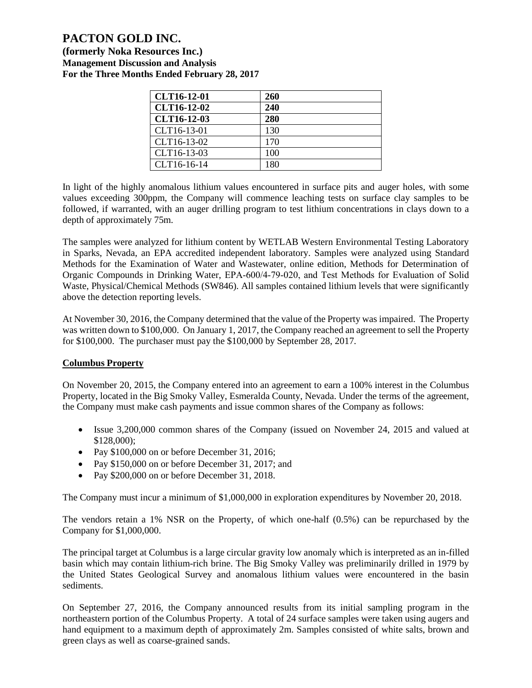**(formerly Noka Resources Inc.) Management Discussion and Analysis For the Three Months Ended February 28, 2017**

| CLT16-12-01        | 260 |
|--------------------|-----|
| <b>CLT16-12-02</b> | 240 |
| CLT16-12-03        | 280 |
| CLT16-13-01        | 130 |
| CLT16-13-02        | 170 |
| CLT16-13-03        | 100 |
| CLT16-16-14        | 180 |

In light of the highly anomalous lithium values encountered in surface pits and auger holes, with some values exceeding 300ppm, the Company will commence leaching tests on surface clay samples to be followed, if warranted, with an auger drilling program to test lithium concentrations in clays down to a depth of approximately 75m.

The samples were analyzed for lithium content by WETLAB Western Environmental Testing Laboratory in Sparks, Nevada, an EPA accredited independent laboratory. Samples were analyzed using Standard Methods for the Examination of Water and Wastewater, online edition, Methods for Determination of Organic Compounds in Drinking Water, EPA‐600/4‐79‐020, and Test Methods for Evaluation of Solid Waste, Physical/Chemical Methods (SW846). All samples contained lithium levels that were significantly above the detection reporting levels.

At November 30, 2016, the Company determined that the value of the Property was impaired. The Property was written down to \$100,000. On January 1, 2017, the Company reached an agreement to sell the Property for \$100,000. The purchaser must pay the \$100,000 by September 28, 2017.

## **Columbus Property**

On November 20, 2015, the Company entered into an agreement to earn a 100% interest in the Columbus Property, located in the Big Smoky Valley, Esmeralda County, Nevada. Under the terms of the agreement, the Company must make cash payments and issue common shares of the Company as follows:

- Issue 3,200,000 common shares of the Company (issued on November 24, 2015 and valued at \$128,000);
- Pay \$100,000 on or before December 31, 2016;
- Pay \$150,000 on or before December 31, 2017; and
- Pay \$200,000 on or before December 31, 2018.

The Company must incur a minimum of \$1,000,000 in exploration expenditures by November 20, 2018.

The vendors retain a 1% NSR on the Property, of which one-half (0.5%) can be repurchased by the Company for \$1,000,000.

The principal target at Columbus is a large circular gravity low anomaly which is interpreted as an in-filled basin which may contain lithium-rich brine. The Big Smoky Valley was preliminarily drilled in 1979 by the United States Geological Survey and anomalous lithium values were encountered in the basin sediments.

On September 27, 2016, the Company announced results from its initial sampling program in the northeastern portion of the Columbus Property. A total of 24 surface samples were taken using augers and hand equipment to a maximum depth of approximately 2m. Samples consisted of white salts, brown and green clays as well as coarse-grained sands.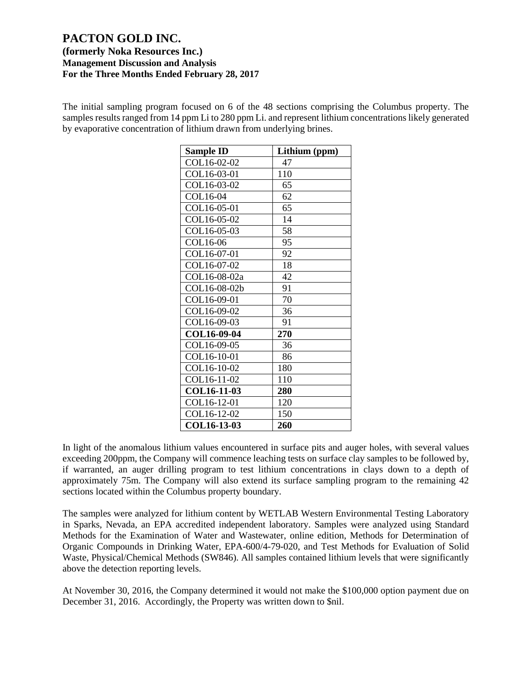The initial sampling program focused on 6 of the 48 sections comprising the Columbus property. The samples results ranged from 14 ppm Li to 280 ppm Li. and represent lithium concentrations likely generated by evaporative concentration of lithium drawn from underlying brines.

| <b>Sample ID</b> | Lithium (ppm) |
|------------------|---------------|
| COL16-02-02      | 47            |
| COL16-03-01      | 110           |
| COL16-03-02      | 65            |
| COL16-04         | 62            |
| COL16-05-01      | 65            |
| COL16-05-02      | 14            |
| COL16-05-03      | 58            |
| COL16-06         | 95            |
| COL16-07-01      | 92            |
| COL16-07-02      | 18            |
| COL16-08-02a     | 42            |
| COL16-08-02b     | 91            |
| COL16-09-01      | 70            |
| COL16-09-02      | 36            |
| COL16-09-03      | 91            |
| COL16-09-04      | 270           |
| COL16-09-05      | 36            |
| COL16-10-01      | 86            |
| COL16-10-02      | 180           |
| COL16-11-02      | 110           |
| COL16-11-03      | 280           |
| COL16-12-01      | 120           |
| COL16-12-02      | 150           |
| COL16-13-03      | 260           |

In light of the anomalous lithium values encountered in surface pits and auger holes, with several values exceeding 200ppm, the Company will commence leaching tests on surface clay samples to be followed by, if warranted, an auger drilling program to test lithium concentrations in clays down to a depth of approximately 75m. The Company will also extend its surface sampling program to the remaining 42 sections located within the Columbus property boundary.

The samples were analyzed for lithium content by WETLAB Western Environmental Testing Laboratory in Sparks, Nevada, an EPA accredited independent laboratory. Samples were analyzed using Standard Methods for the Examination of Water and Wastewater, online edition, Methods for Determination of Organic Compounds in Drinking Water, EPA-600/4-79-020, and Test Methods for Evaluation of Solid Waste, Physical/Chemical Methods (SW846). All samples contained lithium levels that were significantly above the detection reporting levels.

At November 30, 2016, the Company determined it would not make the \$100,000 option payment due on December 31, 2016. Accordingly, the Property was written down to \$nil.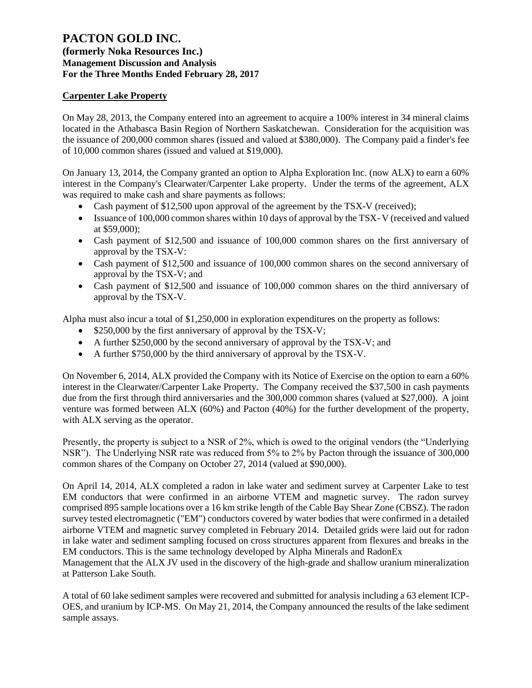## **(formerly Noka Resources Inc.) Management Discussion and Analysis For the Three Months Ended February 28, 2017**

### **Carpenter Lake Property**

On May 28, 2013, the Company entered into an agreement to acquire a 100% interest in 34 mineral claims located in the Athabasca Basin Region of Northern Saskatchewan. Consideration for the acquisition was the issuance of 200,000 common shares (issued and valued at \$380,000). The Company paid a finder's fee of 10,000 common shares (issued and valued at \$19,000).

On January 13, 2014, the Company granted an option to Alpha Exploration Inc. (now ALX) to earn a 60% interest in the Company's Clearwater/Carpenter Lake property. Under the terms of the agreement, ALX was required to make cash and share payments as follows:

- Cash payment of \$12,500 upon approval of the agreement by the TSX-V (received);
- Issuance of 100,000 common shares within 10 days of approval by the TSX-V (received and valued at \$59,000);
- Cash payment of \$12,500 and issuance of 100,000 common shares on the first anniversary of approval by the TSX-V:
- Cash payment of \$12,500 and issuance of 100,000 common shares on the second anniversary of approval by the TSX-V; and
- Cash payment of \$12,500 and issuance of 100,000 common shares on the third anniversary of approval by the TSX-V.

Alpha must also incur a total of \$1,250,000 in exploration expenditures on the property as follows:

- \$250,000 by the first anniversary of approval by the TSX-V;
- A further \$250,000 by the second anniversary of approval by the TSX-V; and
- A further \$750,000 by the third anniversary of approval by the TSX-V.

On November 6, 2014, ALX provided the Company with its Notice of Exercise on the option to earn a 60% interest in the Clearwater/Carpenter Lake Property. The Company received the \$37,500 in cash payments due from the first through third anniversaries and the 300,000 common shares (valued at \$27,000). A joint venture was formed between ALX (60%) and Pacton (40%) for the further development of the property, with ALX serving as the operator.

Presently, the property is subject to a NSR of 2%, which is owed to the original vendors (the "Underlying NSR"). The Underlying NSR rate was reduced from 5% to 2% by Pacton through the issuance of 300,000 common shares of the Company on October 27, 2014 (valued at \$90,000).

On April 14, 2014, ALX completed a radon in lake water and sediment survey at Carpenter Lake to test EM conductors that were confirmed in an airborne VTEM and magnetic survey. The radon survey comprised 895 sample locations over a 16 km strike length of the Cable Bay Shear Zone (CBSZ). The radon survey tested electromagnetic ("EM") conductors covered by water bodies that were confirmed in a detailed airborne VTEM and magnetic survey completed in February 2014. Detailed grids were laid out for radon in lake water and sediment sampling focused on cross structures apparent from flexures and breaks in the EM conductors. This is the same technology developed by Alpha Minerals and RadonEx

Management that the ALX JV used in the discovery of the high-grade and shallow uranium mineralization at Patterson Lake South.

A total of 60 lake sediment samples were recovered and submitted for analysis including a 63 element ICP-OES, and uranium by ICP-MS. On May 21, 2014, the Company announced the results of the lake sediment sample assays.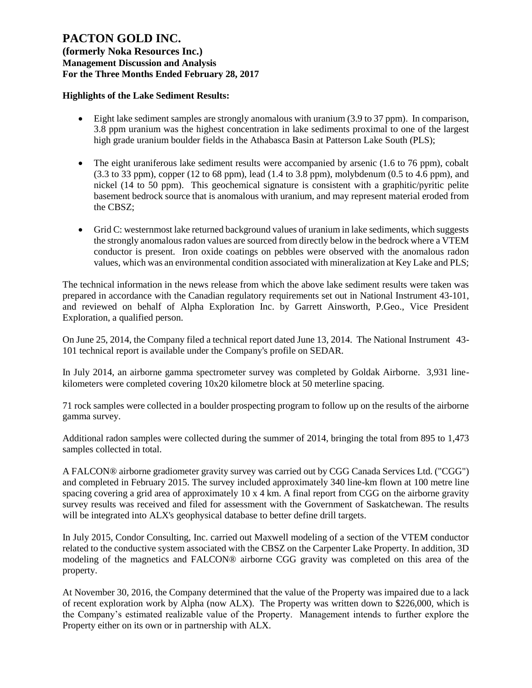**(formerly Noka Resources Inc.) Management Discussion and Analysis For the Three Months Ended February 28, 2017**

### **Highlights of the Lake Sediment Results:**

- Eight lake sediment samples are strongly anomalous with uranium (3.9 to 37 ppm). In comparison, 3.8 ppm uranium was the highest concentration in lake sediments proximal to one of the largest high grade uranium boulder fields in the Athabasca Basin at Patterson Lake South (PLS);
- The eight uraniferous lake sediment results were accompanied by arsenic  $(1.6 \text{ to } 76 \text{ ppm})$ , cobalt (3.3 to 33 ppm), copper (12 to 68 ppm), lead (1.4 to 3.8 ppm), molybdenum (0.5 to 4.6 ppm), and nickel (14 to 50 ppm). This geochemical signature is consistent with a graphitic/pyritic pelite basement bedrock source that is anomalous with uranium, and may represent material eroded from the CBSZ;
- Grid C: westernmost lake returned background values of uranium in lake sediments, which suggests the strongly anomalous radon values are sourced from directly below in the bedrock where a VTEM conductor is present. Iron oxide coatings on pebbles were observed with the anomalous radon values, which was an environmental condition associated with mineralization at Key Lake and PLS;

The technical information in the news release from which the above lake sediment results were taken was prepared in accordance with the Canadian regulatory requirements set out in National Instrument 43-101, and reviewed on behalf of Alpha Exploration Inc. by Garrett Ainsworth, P.Geo., Vice President Exploration, a qualified person.

On June 25, 2014, the Company filed a technical report dated June 13, 2014. The National Instrument 43- 101 technical report is available under the Company's profile on SEDAR.

In July 2014, an airborne gamma spectrometer survey was completed by Goldak Airborne. 3,931 linekilometers were completed covering 10x20 kilometre block at 50 meterline spacing.

71 rock samples were collected in a boulder prospecting program to follow up on the results of the airborne gamma survey.

Additional radon samples were collected during the summer of 2014, bringing the total from 895 to 1,473 samples collected in total.

A FALCON® airborne gradiometer gravity survey was carried out by CGG Canada Services Ltd. ("CGG") and completed in February 2015. The survey included approximately 340 line-km flown at 100 metre line spacing covering a grid area of approximately 10 x 4 km. A final report from CGG on the airborne gravity survey results was received and filed for assessment with the Government of Saskatchewan. The results will be integrated into ALX's geophysical database to better define drill targets.

In July 2015, Condor Consulting, Inc. carried out Maxwell modeling of a section of the VTEM conductor related to the conductive system associated with the CBSZ on the Carpenter Lake Property. In addition, 3D modeling of the magnetics and FALCON® airborne CGG gravity was completed on this area of the property.

At November 30, 2016, the Company determined that the value of the Property was impaired due to a lack of recent exploration work by Alpha (now ALX). The Property was written down to \$226,000, which is the Company's estimated realizable value of the Property. Management intends to further explore the Property either on its own or in partnership with ALX.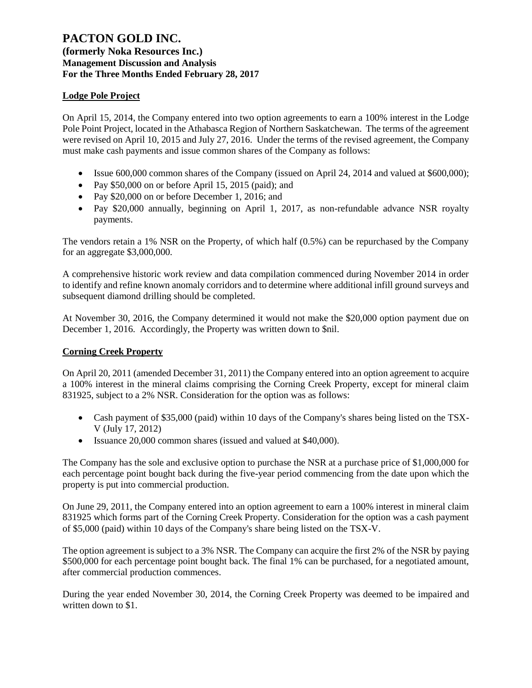## **(formerly Noka Resources Inc.) Management Discussion and Analysis For the Three Months Ended February 28, 2017**

## **Lodge Pole Project**

On April 15, 2014, the Company entered into two option agreements to earn a 100% interest in the Lodge Pole Point Project, located in the Athabasca Region of Northern Saskatchewan. The terms of the agreement were revised on April 10, 2015 and July 27, 2016. Under the terms of the revised agreement, the Company must make cash payments and issue common shares of the Company as follows:

- Issue 600,000 common shares of the Company (issued on April 24, 2014 and valued at \$600,000);
- Pay \$50,000 on or before April 15, 2015 (paid); and
- Pay \$20,000 on or before December 1, 2016; and
- Pay \$20,000 annually, beginning on April 1, 2017, as non-refundable advance NSR royalty payments.

The vendors retain a 1% NSR on the Property, of which half (0.5%) can be repurchased by the Company for an aggregate \$3,000,000.

A comprehensive historic work review and data compilation commenced during November 2014 in order to identify and refine known anomaly corridors and to determine where additional infill ground surveys and subsequent diamond drilling should be completed.

At November 30, 2016, the Company determined it would not make the \$20,000 option payment due on December 1, 2016. Accordingly, the Property was written down to \$nil.

### **Corning Creek Property**

On April 20, 2011 (amended December 31, 2011) the Company entered into an option agreement to acquire a 100% interest in the mineral claims comprising the Corning Creek Property, except for mineral claim 831925, subject to a 2% NSR. Consideration for the option was as follows:

- Cash payment of \$35,000 (paid) within 10 days of the Company's shares being listed on the TSX-V (July 17, 2012)
- Issuance 20,000 common shares (issued and valued at \$40,000).

The Company has the sole and exclusive option to purchase the NSR at a purchase price of \$1,000,000 for each percentage point bought back during the five-year period commencing from the date upon which the property is put into commercial production.

On June 29, 2011, the Company entered into an option agreement to earn a 100% interest in mineral claim 831925 which forms part of the Corning Creek Property. Consideration for the option was a cash payment of \$5,000 (paid) within 10 days of the Company's share being listed on the TSX-V.

The option agreement is subject to a 3% NSR. The Company can acquire the first 2% of the NSR by paying \$500,000 for each percentage point bought back. The final 1% can be purchased, for a negotiated amount, after commercial production commences.

During the year ended November 30, 2014, the Corning Creek Property was deemed to be impaired and written down to \$1.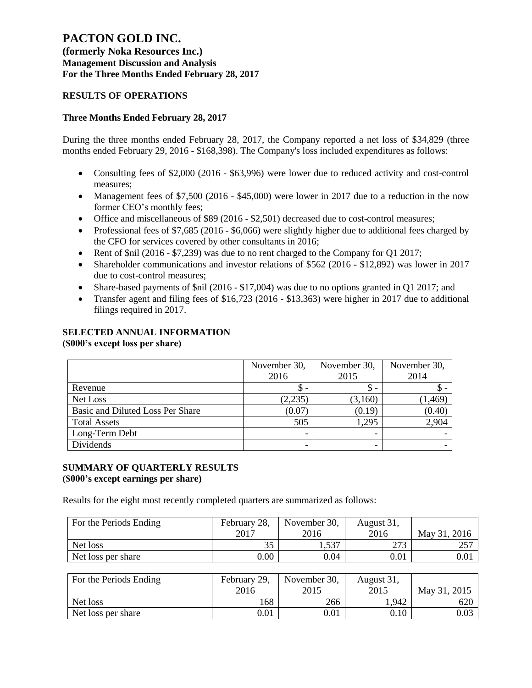**(formerly Noka Resources Inc.) Management Discussion and Analysis For the Three Months Ended February 28, 2017**

### **RESULTS OF OPERATIONS**

### **Three Months Ended February 28, 2017**

During the three months ended February 28, 2017, the Company reported a net loss of \$34,829 (three months ended February 29, 2016 - \$168,398). The Company's loss included expenditures as follows:

- Consulting fees of \$2,000 (2016 \$63,996) were lower due to reduced activity and cost-control measures;
- Management fees of \$7,500 (2016 \$45,000) were lower in 2017 due to a reduction in the now former CEO's monthly fees;
- Office and miscellaneous of \$89 (2016 \$2,501) decreased due to cost-control measures;
- Professional fees of \$7,685 (2016 \$6,066) were slightly higher due to additional fees charged by the CFO for services covered by other consultants in 2016;
- Rent of \$nil (2016 \$7,239) was due to no rent charged to the Company for Q1 2017;
- Shareholder communications and investor relations of \$562 (2016 \$12,892) was lower in 2017 due to cost-control measures;
- Share-based payments of \$nil (2016 \$17,004) was due to no options granted in Q1 2017; and
- Transfer agent and filing fees of \$16,723 (2016 \$13,363) were higher in 2017 due to additional filings required in 2017.

# **SELECTED ANNUAL INFORMATION**

**(\$000's except loss per share)**

|                                  | November 30, | November 30, |          |
|----------------------------------|--------------|--------------|----------|
|                                  | 2016         | 2015         | 2014     |
| Revenue                          | \$ -         | <sup>S</sup> |          |
| Net Loss                         | (2,235)      | (3,160)      | (1, 469) |
| Basic and Diluted Loss Per Share | (0.07)       | (0.19)       | (0.40)   |
| <b>Total Assets</b>              | 505          | 1.295        | 2,904    |
| Long-Term Debt                   |              |              |          |
| Dividends                        |              |              |          |

#### **SUMMARY OF QUARTERLY RESULTS (\$000's except earnings per share)**

Results for the eight most recently completed quarters are summarized as follows:

| For the Periods Ending | February 28, | November 30, | August 31, |              |
|------------------------|--------------|--------------|------------|--------------|
|                        | 2017         | 2016         | 2016       | May 31, 2016 |
| Net loss               | JЈ           | 1,537        | 272        | 257          |
| Net loss per share     | 0.00         | 0.04         | $\rm 0.01$ | $0.01\,$     |

| For the Periods Ending | February 29, | November 30, | August 31, |              |
|------------------------|--------------|--------------|------------|--------------|
|                        | 2016         | 2015         | 2015       | May 31, 2015 |
| Net loss               | 168          | 266          | 1,942      | 620          |
| Net loss per share     | $0.01\,$     | 0.01         | 0.10       | 0.03         |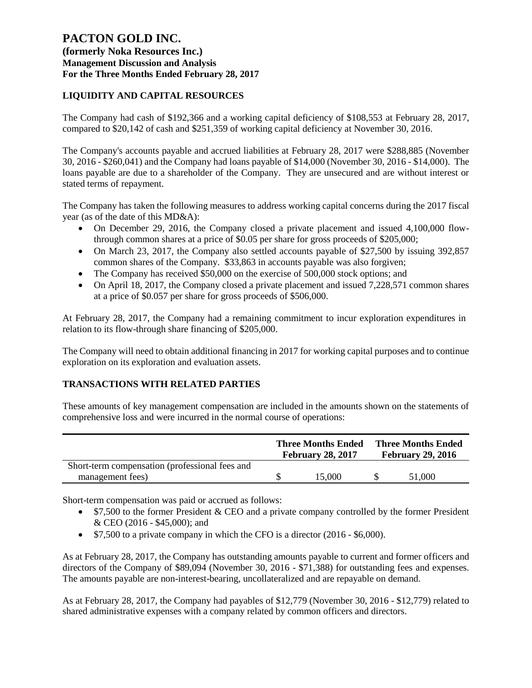# **(formerly Noka Resources Inc.) Management Discussion and Analysis For the Three Months Ended February 28, 2017**

# **LIQUIDITY AND CAPITAL RESOURCES**

The Company had cash of \$192,366 and a working capital deficiency of \$108,553 at February 28, 2017, compared to \$20,142 of cash and \$251,359 of working capital deficiency at November 30, 2016.

The Company's accounts payable and accrued liabilities at February 28, 2017 were \$288,885 (November 30, 2016 - \$260,041) and the Company had loans payable of \$14,000 (November 30, 2016 - \$14,000). The loans payable are due to a shareholder of the Company. They are unsecured and are without interest or stated terms of repayment.

The Company has taken the following measures to address working capital concerns during the 2017 fiscal year (as of the date of this MD&A):

- On December 29, 2016, the Company closed a private placement and issued 4,100,000 flowthrough common shares at a price of \$0.05 per share for gross proceeds of \$205,000;
- On March 23, 2017, the Company also settled accounts payable of \$27,500 by issuing 392,857 common shares of the Company. \$33,863 in accounts payable was also forgiven;
- The Company has received \$50,000 on the exercise of 500,000 stock options; and
- On April 18, 2017, the Company closed a private placement and issued 7,228,571 common shares at a price of \$0.057 per share for gross proceeds of \$506,000.

At February 28, 2017, the Company had a remaining commitment to incur exploration expenditures in relation to its flow-through share financing of \$205,000.

The Company will need to obtain additional financing in 2017 for working capital purposes and to continue exploration on its exploration and evaluation assets.

## **TRANSACTIONS WITH RELATED PARTIES**

These amounts of key management compensation are included in the amounts shown on the statements of comprehensive loss and were incurred in the normal course of operations:

|                                                | <b>Three Months Ended</b><br><b>February 28, 2017</b> | <b>Three Months Ended</b><br><b>February 29, 2016</b> |        |  |
|------------------------------------------------|-------------------------------------------------------|-------------------------------------------------------|--------|--|
| Short-term compensation (professional fees and |                                                       |                                                       |        |  |
| management fees)                               | 15.000                                                |                                                       | 51,000 |  |

Short-term compensation was paid or accrued as follows:

- \$7,500 to the former President & CEO and a private company controlled by the former President & CEO (2016 - \$45,000); and
- \$7,500 to a private company in which the CFO is a director (2016 \$6,000).

As at February 28, 2017, the Company has outstanding amounts payable to current and former officers and directors of the Company of \$89,094 (November 30, 2016 - \$71,388) for outstanding fees and expenses. The amounts payable are non-interest-bearing, uncollateralized and are repayable on demand.

As at February 28, 2017, the Company had payables of \$12,779 (November 30, 2016 - \$12,779) related to shared administrative expenses with a company related by common officers and directors.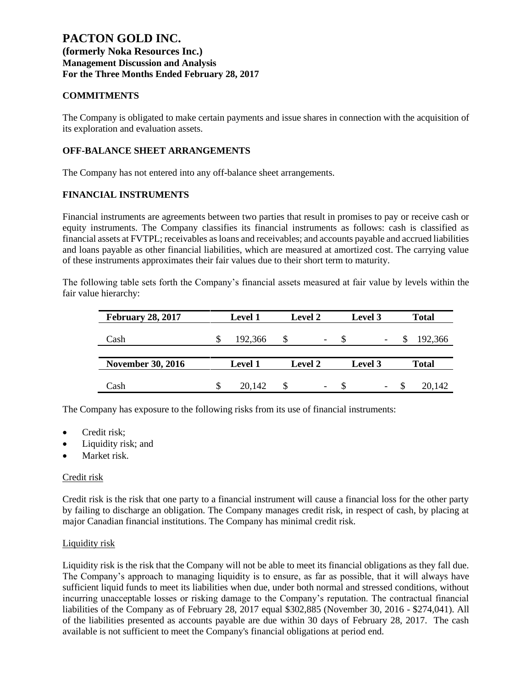## **COMMITMENTS**

The Company is obligated to make certain payments and issue shares in connection with the acquisition of its exploration and evaluation assets.

### **OFF-BALANCE SHEET ARRANGEMENTS**

The Company has not entered into any off-balance sheet arrangements.

### **FINANCIAL INSTRUMENTS**

Financial instruments are agreements between two parties that result in promises to pay or receive cash or equity instruments. The Company classifies its financial instruments as follows: cash is classified as financial assets at FVTPL; receivables as loans and receivables; and accounts payable and accrued liabilities and loans payable as other financial liabilities, which are measured at amortized cost. The carrying value of these instruments approximates their fair values due to their short term to maturity.

The following table sets forth the Company's financial assets measured at fair value by levels within the fair value hierarchy:

| <b>February 28, 2017</b> | <b>Level 1</b> | <b>Level 2</b> | Level 3                  |      | <b>Total</b> |
|--------------------------|----------------|----------------|--------------------------|------|--------------|
| Cash                     | 192,366        |                | $\overline{\phantom{a}}$ |      | 192,366      |
|                          |                |                |                          |      |              |
| <b>November 30, 2016</b> | <b>Level 1</b> | <b>Level 2</b> | Level 3                  |      | <b>Total</b> |
|                          |                |                |                          |      |              |
| Cash                     | 20,142         |                | $\overline{\phantom{a}}$ | - 35 | 20,142       |

The Company has exposure to the following risks from its use of financial instruments:

- Credit risk:
- Liquidity risk; and
- Market risk.

### Credit risk

Credit risk is the risk that one party to a financial instrument will cause a financial loss for the other party by failing to discharge an obligation. The Company manages credit risk, in respect of cash, by placing at major Canadian financial institutions. The Company has minimal credit risk.

### Liquidity risk

Liquidity risk is the risk that the Company will not be able to meet its financial obligations as they fall due. The Company's approach to managing liquidity is to ensure, as far as possible, that it will always have sufficient liquid funds to meet its liabilities when due, under both normal and stressed conditions, without incurring unacceptable losses or risking damage to the Company's reputation. The contractual financial liabilities of the Company as of February 28, 2017 equal \$302,885 (November 30, 2016 - \$274,041). All of the liabilities presented as accounts payable are due within 30 days of February 28, 2017. The cash available is not sufficient to meet the Company's financial obligations at period end.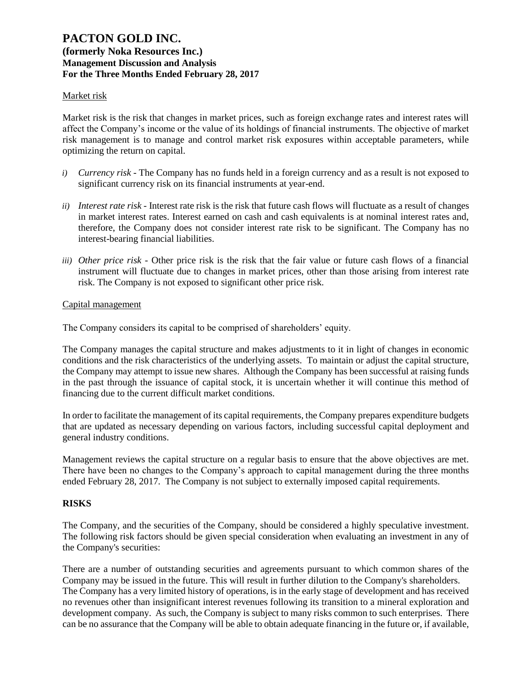### Market risk

Market risk is the risk that changes in market prices, such as foreign exchange rates and interest rates will affect the Company's income or the value of its holdings of financial instruments. The objective of market risk management is to manage and control market risk exposures within acceptable parameters, while optimizing the return on capital.

- *i) Currency risk* The Company has no funds held in a foreign currency and as a result is not exposed to significant currency risk on its financial instruments at year-end.
- *ii) Interest rate risk -* Interest rate risk is the risk that future cash flows will fluctuate as a result of changes in market interest rates. Interest earned on cash and cash equivalents is at nominal interest rates and, therefore, the Company does not consider interest rate risk to be significant. The Company has no interest-bearing financial liabilities.
- *iii) Other price risk -* Other price risk is the risk that the fair value or future cash flows of a financial instrument will fluctuate due to changes in market prices, other than those arising from interest rate risk. The Company is not exposed to significant other price risk.

#### Capital management

The Company considers its capital to be comprised of shareholders' equity.

The Company manages the capital structure and makes adjustments to it in light of changes in economic conditions and the risk characteristics of the underlying assets. To maintain or adjust the capital structure, the Company may attempt to issue new shares. Although the Company has been successful at raising funds in the past through the issuance of capital stock, it is uncertain whether it will continue this method of financing due to the current difficult market conditions.

In order to facilitate the management of its capital requirements, the Company prepares expenditure budgets that are updated as necessary depending on various factors, including successful capital deployment and general industry conditions.

Management reviews the capital structure on a regular basis to ensure that the above objectives are met. There have been no changes to the Company's approach to capital management during the three months ended February 28, 2017. The Company is not subject to externally imposed capital requirements.

### **RISKS**

The Company, and the securities of the Company, should be considered a highly speculative investment. The following risk factors should be given special consideration when evaluating an investment in any of the Company's securities:

There are a number of outstanding securities and agreements pursuant to which common shares of the Company may be issued in the future. This will result in further dilution to the Company's shareholders. The Company has a very limited history of operations, is in the early stage of development and has received no revenues other than insignificant interest revenues following its transition to a mineral exploration and development company. As such, the Company is subject to many risks common to such enterprises. There can be no assurance that the Company will be able to obtain adequate financing in the future or, if available,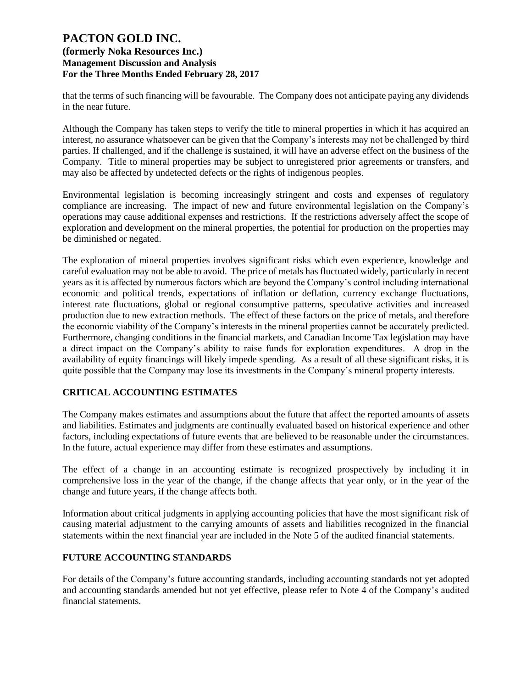that the terms of such financing will be favourable. The Company does not anticipate paying any dividends in the near future.

Although the Company has taken steps to verify the title to mineral properties in which it has acquired an interest, no assurance whatsoever can be given that the Company's interests may not be challenged by third parties. If challenged, and if the challenge is sustained, it will have an adverse effect on the business of the Company. Title to mineral properties may be subject to unregistered prior agreements or transfers, and may also be affected by undetected defects or the rights of indigenous peoples.

Environmental legislation is becoming increasingly stringent and costs and expenses of regulatory compliance are increasing. The impact of new and future environmental legislation on the Company's operations may cause additional expenses and restrictions. If the restrictions adversely affect the scope of exploration and development on the mineral properties, the potential for production on the properties may be diminished or negated.

The exploration of mineral properties involves significant risks which even experience, knowledge and careful evaluation may not be able to avoid. The price of metals has fluctuated widely, particularly in recent years as it is affected by numerous factors which are beyond the Company's control including international economic and political trends, expectations of inflation or deflation, currency exchange fluctuations, interest rate fluctuations, global or regional consumptive patterns, speculative activities and increased production due to new extraction methods. The effect of these factors on the price of metals, and therefore the economic viability of the Company's interests in the mineral properties cannot be accurately predicted. Furthermore, changing conditions in the financial markets, and Canadian Income Tax legislation may have a direct impact on the Company's ability to raise funds for exploration expenditures. A drop in the availability of equity financings will likely impede spending. As a result of all these significant risks, it is quite possible that the Company may lose its investments in the Company's mineral property interests.

## **CRITICAL ACCOUNTING ESTIMATES**

The Company makes estimates and assumptions about the future that affect the reported amounts of assets and liabilities. Estimates and judgments are continually evaluated based on historical experience and other factors, including expectations of future events that are believed to be reasonable under the circumstances. In the future, actual experience may differ from these estimates and assumptions.

The effect of a change in an accounting estimate is recognized prospectively by including it in comprehensive loss in the year of the change, if the change affects that year only, or in the year of the change and future years, if the change affects both.

Information about critical judgments in applying accounting policies that have the most significant risk of causing material adjustment to the carrying amounts of assets and liabilities recognized in the financial statements within the next financial year are included in the Note 5 of the audited financial statements.

## **FUTURE ACCOUNTING STANDARDS**

For details of the Company's future accounting standards, including accounting standards not yet adopted and accounting standards amended but not yet effective, please refer to Note 4 of the Company's audited financial statements.